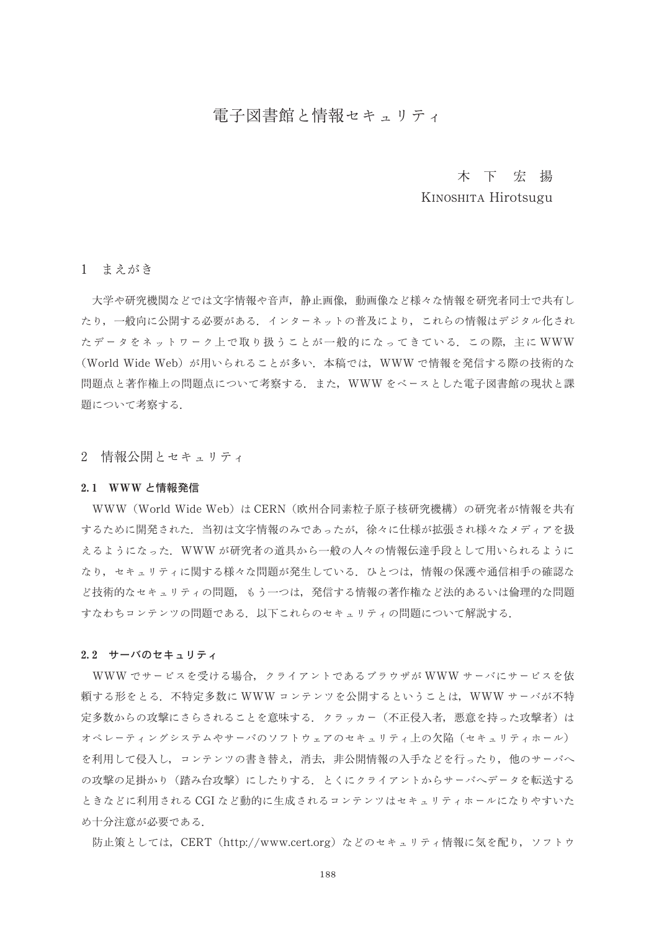# 電子図書館と情報セキュリティ

# 木下宏揚

# KINOSHITA Hirotsugu

# 1 まえがき

大学や研究機関などでは文字情報や音声、静止画像、動画像など様々な情報を研究者同士で共有し たり、一般向に公開する必要がある.インターネットの普及により,これらの情報はデジタル化され たデータをネットワーク上で取り扱うことが一般的になってきている. この際, 主に WWW (World Wide Web) が用いられることが多い. 本稿では, WWW で情報を発信する際の技術的な 問題点と著作権上の問題点について考察する. また、WWWをベースとした電子図書館の現状と課 題について考察する.

2 情報公開とセキュリティ

# 2.1 WWW と情報発信

WWW (World Wide Web) は CERN (欧州合同素粒子原子核研究機構) の研究者が情報を共有 するために開発された。当初は文字情報のみであったが、徐々に仕様が拡張され様々なメディアを扱 えるようになった. WWW が研究者の道具から一般の人々の情報伝達手段として用いられるように なり、セキュリティに関する様々な問題が発生している. ひとつは、情報の保護や通信相手の確認な ど技術的なセキュリティの問題、もう一つは、発信する情報の著作権など法的あるいは倫理的な問題 すなわちコンテンツの問題である. 以下これらのセキュリティの問題について解説する.

## 2.2 サーバのセキュリティ

WWW でサービスを受ける場合,クライアントであるブラウザが WWW サーバにサービスを依 頼する形をとる.不特定多数に WWW コンテンツを公開するということは,WWW サーバが不特 定多数からの攻撃にさらされることを意味する.クラッカー(不正侵入者,悪意を持った攻撃者)は オペレーティングシステムやサーバのソフトウェアのセキュリティ上の欠陥(セキュリティホール) を利用して侵入し,コンテンツの書き替え,消去,非公開情報の入手などを行ったり,他のサーバへ の攻撃の足掛かり(踏み台攻撃)にしたりする。とくにクライアントからサーバへデータを転送する ときなどに利用される CGI など動的に生成されるコンテンツはセキュリティホールになりやすいた め十分注意が必要である.

防止策としては,CERT(http://www.cert.org)などのセキュリティ情報に気を配り,ソフトウ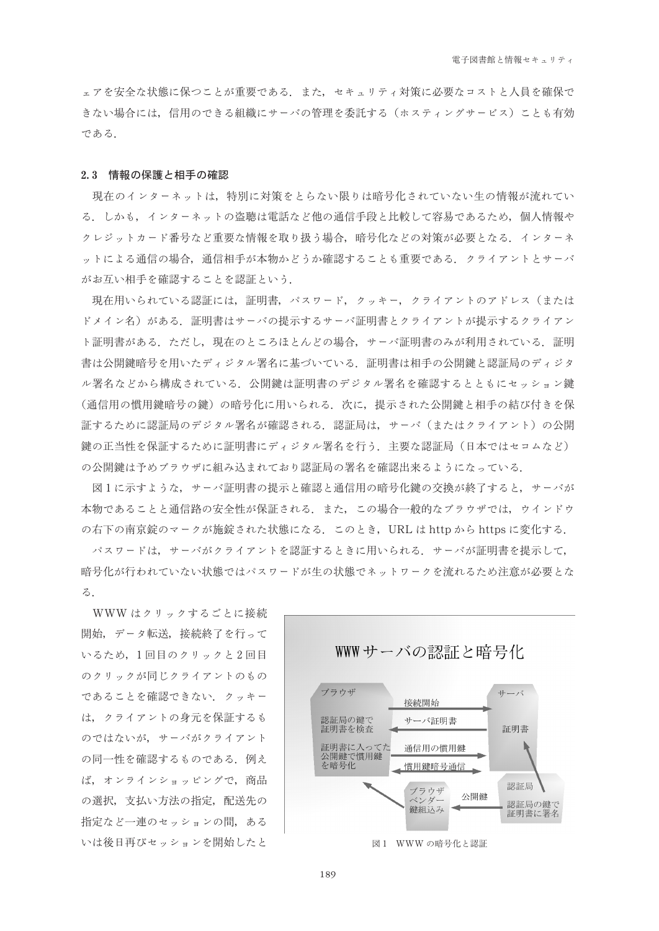ェアを安全な状態に保つことが重要である。また、セキュリティ対策に必要なコストと人員を確保で きない場合には、信用のできる組織にサーバの管理を委託する(ホスティングサービス)ことも有効 である.

#### 2.3 情報の保護と相手の確認

現在のインターネットは、特別に対策をとらない限りは暗号化されていない生の情報が流れてい る.しかも,インターネットの盗聴は電話など他の通信手段と比較して容易であるため,個人情報や クレジットカード番号など重要な情報を取り扱う場合,暗号化などの対策が必要となる.インターネ ットによる通信の場合,通信相手が本物かどうか確認することも重要である.クライアントとサーバ がお互い相手を確認することを認証という.

現在用いられている認証には、証明書、パスワード、クッキー、クライアントのアドレス(または ドメイン名)がある.証明書はサーバの提示するサーバ証明書とクライアントが提示するクライアン ト証明書がある.ただし,現在のところほとんどの場合,サーバ証明書のみが利用されている.証明 書は公開鍵暗号を用いたディジタル署名に基づいている、証明書は相手の公開鍵と認証局のディジタ ル署名などから構成されている、公開鍵は証明書のデジタル署名を確認するとともにセッション鍵 (通信用の慣用鍵暗号の鍵)の暗号化に用いられる.次に,提示された公開鍵と相手の結び付きを保 証するために認証局のデジタル署名が確認される、認証局は、サーバ(またはクライアント)の公開 鍵の正当性を保証するために証明書にディジタル署名を行う.主要な認証局(日本ではセコムなど) の公開鍵は予めブラウザに組み込まれており認証局の署名を確認出来るようになっている.

図1に示すような、サーバ証明書の提示と確認と通信用の暗号化鍵の交換が終了すると、サーバが 本物であることと通信路の安全性が保証される、また、この場合一般的なブラウザでは、ウインドウ の右下の南京錠のマークが施錠された状態になる. このとき, URL は http から https に変化する.

パスワードは、サーバがクライアントを認証するときに用いられる。サーバが証明書を提示して、 暗号化が行われていない状態ではパスワードが生の状態でネットワークを流れるため注意が必要とな  $\mathcal{Z}_{\Box}$ 

WWW はクリックするごとに接続 開始、データ転送、接続終了を行って いるため、1回目のクリックと2回目 のクリックが同じクライアントのもの であることを確認できない。クッキー は、クライアントの身元を保証するも のではないが、サーバがクライアント の同一性を確認するものである.例え ば、オンラインショッピングで、商品 の選択、支払い方法の指定、配送先の 指定など一連のセッションの間、ある いは後日再びセッションを開始したと

WWWサーバの認証と暗号化



189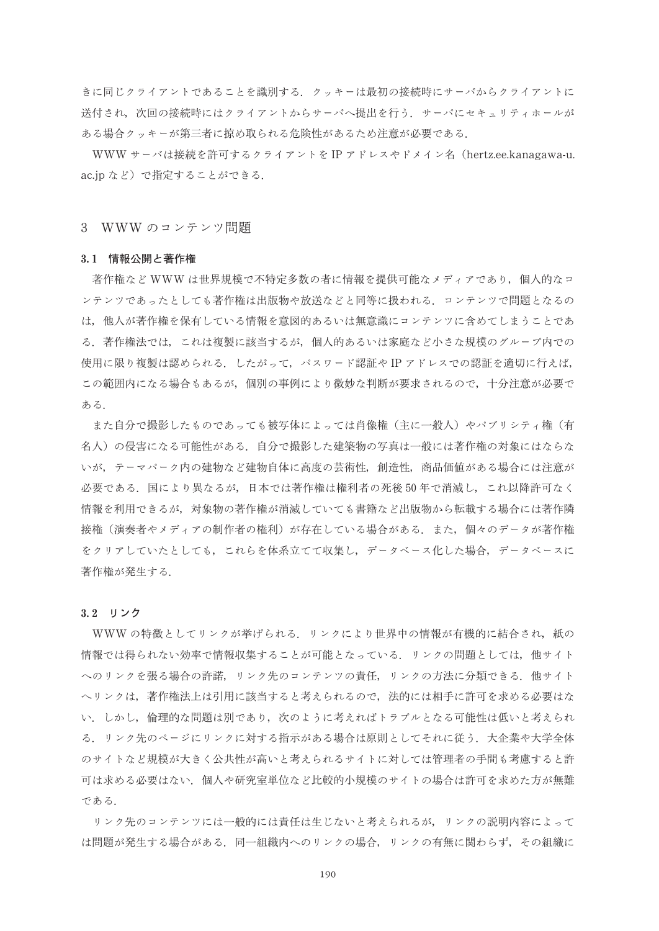きに同じクライアントであることを識別する。クッキーは最初の接続時にサーバからクライアントに 送付され、次回の接続時にはクライアントからサーバへ提出を行う、サーバにセキュリティホールが ある場合クッキーが第三者に掠め取られる危険性があるため注意が必要である.

WWW サーバは接続を許可するクライアントを IP アドレスやドメイン名(hertz.ee.kanagawa-u. ac.jp など) で指定することができる.

3 WWW のコンテンツ問題

### 3.1 情報公開と著作権

著作権など WWW は世界規模で不特定多数の者に情報を提供可能なメディアであり、個人的なコ ンテンツであったとしても著作権は出版物や放送などと同等に扱われる. コンテンツで問題となるの は、他人が著作権を保有している情報を意図的あるいは無意識にコンテンツに含めてしまうことであ る、著作権法では、これは複製に該当するが、個人的あるいは家庭など小さな規模のグループ内での 使用に限り複製は認められる. したがって,パスワード認証や IP アドレスでの認証を適切に行えば, この範囲内になる場合もあるが、個別の事例により微妙な判断が要求されるので、十分注意が必要で ある.

また自分で撮影したものであっても被写体によっては肖像権(主に一般人)やパブリシティ権(有 名人)の侵害になる可能性がある。自分で撮影した建築物の写真は一般には著作権の対象にはならな いが、テーマパーク内の建物など建物自体に高度の芸術性、創造性、商品価値がある場合には注意が 必要である.国により異なるが,日本では著作権は権利者の死後50年で消滅し,これ以降許可なく 情報を利用できるが、対象物の著作権が消滅していても書籍など出版物から転載する場合には著作隣 接権(演奏者やメディアの制作者の権利)が存在している場合がある.また,個々のデータが著作権 をクリアしていたとしても、これらを体系立てて収集し、データベース化した場合、データベースに 著作権が発生する.

#### 3.2 リンク

WWWの特徴としてリンクが挙げられる、リンクにより世界中の情報が有機的に結合され、紙の 情報では得られない効率で情報収集することが可能となっている. リンクの問題としては, 他サイト へのリンクを張る場合の許諾、リンク先のコンテンツの責任、リンクの方法に分類できる。他サイト へリンクは、著作権法上は引用に該当すると考えられるので、法的には相手に許可を求める必要はな い.しかし,倫理的な問題は別であり,次のように考えればトラブルとなる可能性は低いと考えられ る、リンク先のページにリンクに対する指示がある場合は原則としてそれに従う、大企業や大学全体 のサイトなど規模が大きく公共性が高いと考えられるサイトに対しては管理者の手間も考慮すると許 可は求める必要はない、個人や研究室単位など比較的小規模のサイトの場合は許可を求めた方が無難 である.

リンク先のコンテンツには一般的には責任は生じないと考えられるが、リンクの説明内容によって は問題が発生する場合がある.同一組織内へのリンクの場合,リンクの有無に関わらず,その組織に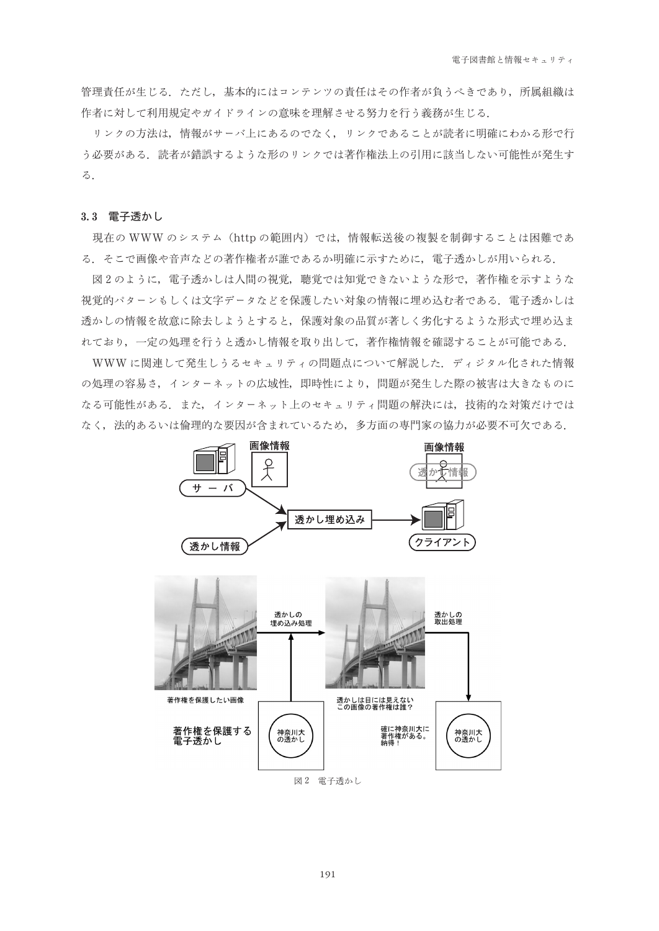管理責任が生じる。ただし、基本的にはコンテンツの責任はその作者が負うべきであり、所属組織は 作者に対して利用規定やガイドラインの意味を理解させる努力を行う義務が生じる。

リンクの方法は、情報がサーバ上にあるのでなく、リンクであることが読者に明確にわかる形で行 う必要がある.読者が錯誤するような形のリンクでは著作権法上の引用に該当しない可能性が発生す  $\mathcal{Z}$ .

# 3.3 雷子透かし

現在の WWW のシステム (http の範囲内) では、情報転送後の複製を制御することは困難であ る. そこで画像や音声などの著作権者が誰であるか明確に示すために、電子透かしが用いられる.

図2のように、電子透かしは人間の視覚、聴覚では知覚できないような形で、著作権を示すような 視覚的パターンもしくは文字データなどを保護したい対象の情報に埋め込む者である、電子透かしは 透かしの情報を故意に除去しようとすると、保護対象の品質が著しく劣化するような形式で埋め込ま れており、一定の処理を行うと透かし情報を取り出して、著作権情報を確認することが可能である.

WWWに関連して発生しうるセキュリティの問題点について解説した. ディジタル化された情報 の処理の容易さ、インターネットの広域性、即時性により、問題が発生した際の被害は大きなものに なる可能性がある。また、インターネット上のセキュリティ問題の解決には、技術的な対策だけでは なく、法的あるいは倫理的な要因が含まれているため、多方面の専門家の協力が必要不可欠である.

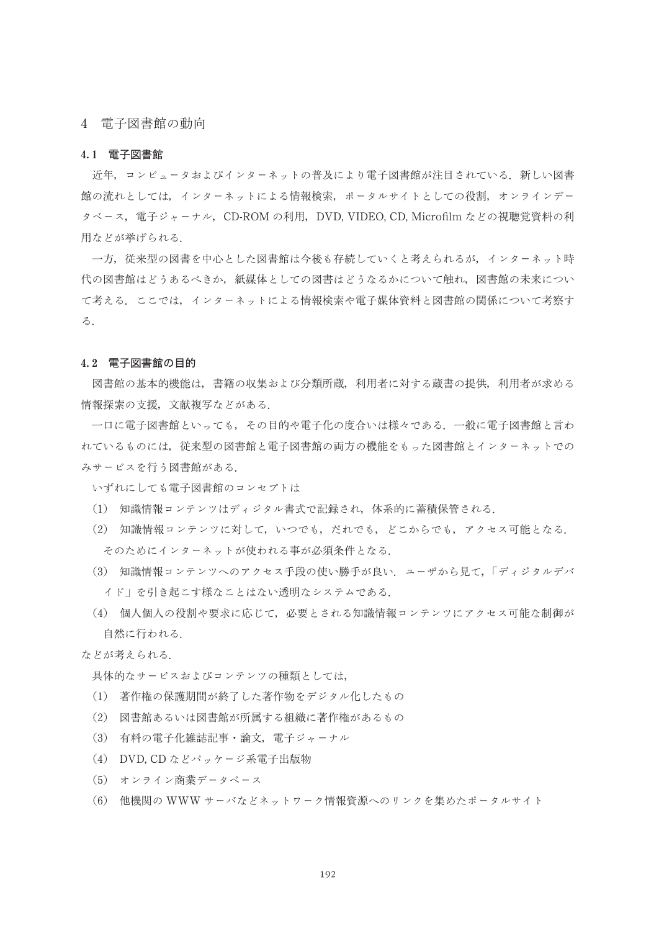# 4 電子図書館の動向

## 4.1 電子図書館

近年、コンピュータおよびインターネットの普及により電子図書館が注目されている。新しい図書 館の流れとしては、インターネットによる情報検索、ポータルサイトとしての役割、オンラインデー タベース、電子ジャーナル, CD-ROM の利用, DVD, VIDEO, CD, Microfilm などの視聴覚資料の利 用などが挙げられる.

一方、従来型の図書を中心とした図書館は今後も存続していくと考えられるが、インターネット時 代の図書館はどうあるべきか、紙媒体としての図書はどうなるかについて触れ、図書館の未来につい て考える。ここでは、インターネットによる情報検索や電子媒体資料と図書館の関係について考察す る.

### 4.2 電子図書館の目的

図書館の基本的機能は、書籍の収集および分類所蔵、利用者に対する蔵書の提供、利用者が求める 情報探索の支援, 文献複写などがある.

一口に電子図書館といっても、その目的や電子化の度合いは様々である。一般に電子図書館と言わ れているものには、従来型の図書館と電子図書館の両方の機能をもった図書館とインターネットでの みサービスを行う図書館がある.

いずれにしても電子図書館のコンセプトは

- (1) 知識情報コンテンツはディジタル書式で記録され、体系的に蓄積保管される.
- (2) 知識情報コンテンツに対して、いつでも、だれでも、どこからでも、アクセス可能となる. そのためにインターネットが使われる事が必須条件となる.
- (3) 知識情報コンテンツへのアクセス手段の使い勝手が良い. ユーザから見て,「ディジタルデバ イド」を引き起こす様なことはない透明なシステムである.
- (4) 個人個人の役割や要求に応じて、必要とされる知識情報コンテンツにアクセス可能な制御が 自然に行われる.

#### などが考えられる.

具体的なサービスおよびコンテンツの種類としては、

- (1) 著作権の保護期間が終了した著作物をデジタル化したもの
- (2) 図書館あるいは図書館が所属する組織に著作権があるもの
- (3) 有料の電子化雑誌記事・論文、電子ジャーナル
- (4) DVD, CD などパッケージ系電子出版物
- (5) オンライン商業データベース
- (6) 他機関の WWW サーバなどネットワーク情報資源へのリンクを集めたポータルサイト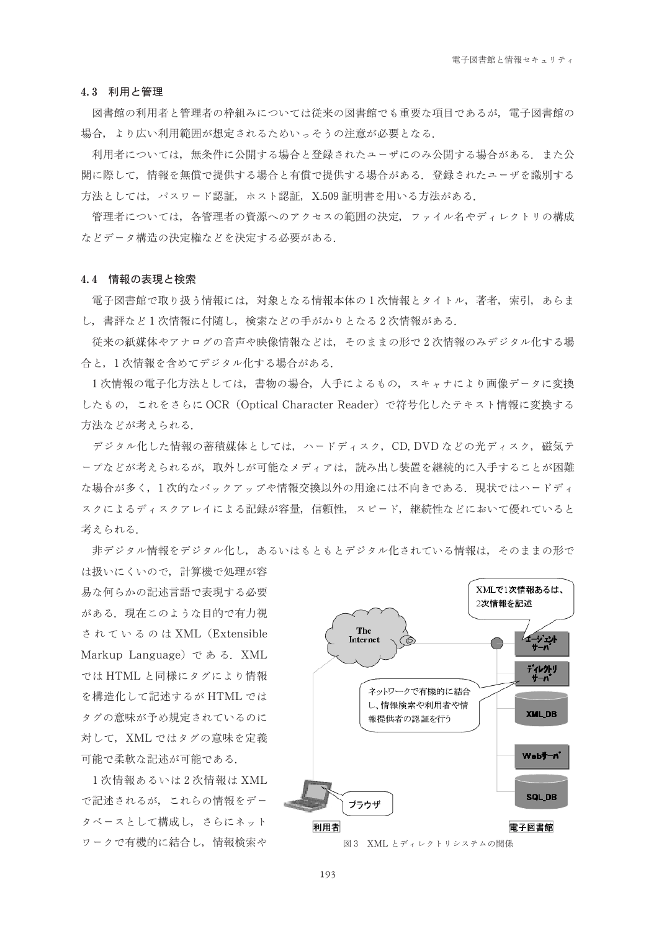#### 4.3 利用と管理

図書館の利用者と管理者の枠組みについては従来の図書館でも重要な項目であるが、電子図書館の 場合, より広い利用範囲が想定されるためいっそうの注意が必要となる.

利用者については、無条件に公開する場合と登録されたユーザにのみ公開する場合がある。また公 開に際して、情報を無償で提供する場合と有償で提供する場合がある。登録されたユーザを識別する 方法としては、パスワード認証、ホスト認証、X.509証明書を用いる方法がある.

管理者については、各管理者の資源へのアクセスの範囲の決定、ファイル名やディレクトリの構成 などデータ構造の決定権などを決定する必要がある.

### 4.4 情報の表現と検索

電子図書館で取り扱う情報には、対象となる情報本体の1次情報とタイトル、著者、索引、あらま し、書評など1次情報に付随し、検索などの手がかりとなる2次情報がある.

従来の紙媒体やアナログの音声や映像情報などは、そのままの形で2次情報のみデジタル化する場 合と、1次情報を含めてデジタル化する場合がある.

1次情報の電子化方法としては、書物の場合、人手によるもの、スキャナにより画像データに変換 したもの、これをさらに OCR (Optical Character Reader) で符号化したテキスト情報に変換する 方法などが考えられる.

デジタル化した情報の蓄積媒体としては、ハードディスク, CD, DVD などの光ディスク, 磁気テ ープなどが考えられるが、取外しが可能なメディアは、読み出し装置を継続的に入手することが困難 な場合が多く, 1次的なバックアップや情報交換以外の用途には不向きである. 現状ではハードディ スクによるディスクアレイによる記録が容量、信頼性、スピード、継続性などにおいて優れていると 考えられる.

非デジタル情報をデジタル化し、あるいはもともとデジタル化されている情報は、そのままの形で

は扱いにくいので、計算機で処理が容 易な何らかの記述言語で表現する必要 がある。現在このような目的で有力視 されているのは XML (Extensible Markup Language) である. XML ではHTML と同様にタグにより情報 を構造化して記述するが HTML では タグの意味が予め規定されているのに 対して、XML ではタグの意味を定義 可能で柔軟な記述が可能である.

1次情報あるいは2次情報は XML で記述されるが、これらの情報をデー タベースとして構成し、さらにネット ワークで有機的に結合し、情報検索や